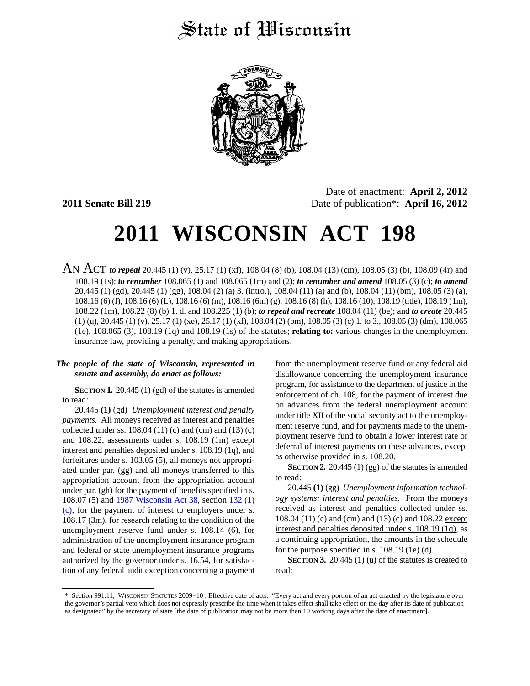## State of Wisconsin



Date of enactment: **April 2, 2012 2011 Senate Bill 219** Date of publication\*: **April 16, 2012**

# **2011 WISCONSIN ACT 198**

AN ACT *to repeal* 20.445 (1) (v), 25.17 (1) (xf), 108.04 (8) (b), 108.04 (13) (cm), 108.05 (3) (b), 108.09 (4r) and 108.19 (1s); *to renumber* 108.065 (1) and 108.065 (1m) and (2); *to renumber and amend* 108.05 (3) (c); *to amend* 20.445 (1) (gd), 20.445 (1) (gg), 108.04 (2) (a) 3. (intro.), 108.04 (11) (a) and (b), 108.04 (11) (bm), 108.05 (3) (a), 108.16 (6) (f), 108.16 (6) (L), 108.16 (6) (m), 108.16 (6m) (g), 108.16 (8) (h), 108.16 (10), 108.19 (title), 108.19 (1m), 108.22 (1m), 108.22 (8) (b) 1. d. and 108.225 (1) (b); *to repeal and recreate* 108.04 (11) (be); and *to create* 20.445 (1) (u), 20.445 (1) (v), 25.17 (1) (xe), 25.17 (1) (xf), 108.04 (2) (bm), 108.05 (3) (c) 1. to 3., 108.05 (3) (dm), 108.065 (1e), 108.065 (3), 108.19 (1q) and 108.19 (1s) of the statutes; **relating to:** various changes in the unemployment insurance law, providing a penalty, and making appropriations.

#### *The people of the state of Wisconsin, represented in senate and assembly, do enact as follows:*

**SECTION 1.** 20.445 (1) (gd) of the statutes is amended to read:

20.445 **(1)** (gd) *Unemployment interest and penalty payments.* All moneys received as interest and penalties collected under ss.  $108.04$  (11) (c) and (cm) and (13) (c) and 108.22, assessments under s. 108.19 (1m) except interest and penalties deposited under s. 108.19 (1q), and forfeitures under s. 103.05 (5), all moneys not appropriated under par. (gg) and all moneys transferred to this appropriation account from the appropriation account under par. (gh) for the payment of benefits specified in s. 108.07 (5) and [1987 Wisconsin Act 38](https://docs.legis.wisconsin.gov/document/acts/1987/38), section [132 \(1\)](https://docs.legis.wisconsin.gov/document/acts/1987/38,%20s.%20132) [\(c\)](https://docs.legis.wisconsin.gov/document/acts/1987/38,%20s.%20132), for the payment of interest to employers under s. 108.17 (3m), for research relating to the condition of the unemployment reserve fund under s. 108.14 (6), for administration of the unemployment insurance program and federal or state unemployment insurance programs authorized by the governor under s. 16.54, for satisfaction of any federal audit exception concerning a payment from the unemployment reserve fund or any federal aid disallowance concerning the unemployment insurance program, for assistance to the department of justice in the enforcement of ch. 108, for the payment of interest due on advances from the federal unemployment account under title XII of the social security act to the unemployment reserve fund, and for payments made to the unemployment reserve fund to obtain a lower interest rate or deferral of interest payments on these advances, except as otherwise provided in s. 108.20.

**SECTION 2.** 20.445 (1) (gg) of the statutes is amended to read:

20.445 **(1)** (gg) *Unemployment information technology systems; interest and penalties.* From the moneys received as interest and penalties collected under ss. 108.04 (11) (c) and (cm) and (13) (c) and 108.22 except interest and penalties deposited under s. 108.19 (1q), as a continuing appropriation, the amounts in the schedule for the purpose specified in s. 108.19 (1e) (d).

**SECTION 3.** 20.445 (1) (u) of the statutes is created to read:

<sup>\*</sup> Section 991.11, WISCONSIN STATUTES 2009−10 : Effective date of acts. "Every act and every portion of an act enacted by the legislature over the governor's partial veto which does not expressly prescribe the time when it takes effect shall take effect on the day after its date of publication as designated" by the secretary of state [the date of publication may not be more than 10 working days after the date of enactment].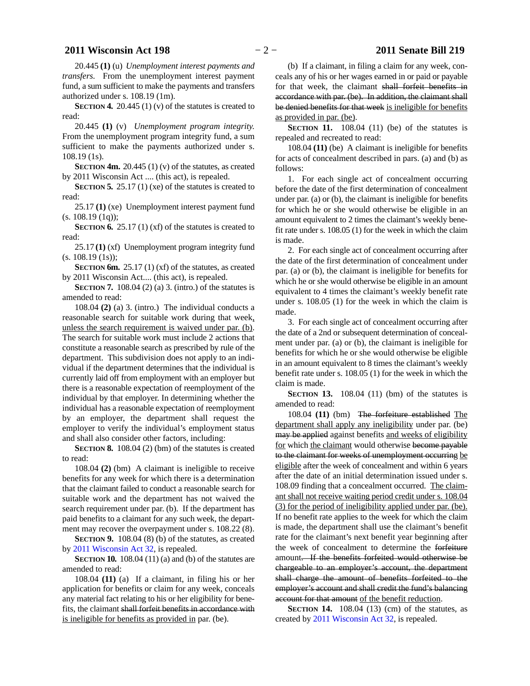### **2011 Wisconsin Act 198** − 2 − **2011 Senate Bill 219**

20.445 **(1)** (u) *Unemployment interest payments and transfers.* From the unemployment interest payment fund, a sum sufficient to make the payments and transfers authorized under s. 108.19 (1m).

**SECTION 4.** 20.445 (1) (v) of the statutes is created to read:

20.445 **(1)** (v) *Unemployment program integrity.* From the unemployment program integrity fund, a sum sufficient to make the payments authorized under s. 108.19 (1s).

**SECTION** 4m. 20.445 (1) (v) of the statutes, as created by 2011 Wisconsin Act .... (this act), is repealed.

**SECTION 5.** 25.17 (1) (xe) of the statutes is created to read:

25.17 **(1)** (xe) Unemployment interest payment fund  $(s. 108.19(1q))$ ;

**SECTION 6.** 25.17 (1) (xf) of the statutes is created to read:

25.17 **(1)** (xf) Unemployment program integrity fund (s. 108.19 (1s));

**SECTION** 6m. 25.17 (1) (xf) of the statutes, as created by 2011 Wisconsin Act.... (this act), is repealed.

**SECTION 7.** 108.04 (2) (a) 3. (intro.) of the statutes is amended to read:

108.04 **(2)** (a) 3. (intro.) The individual conducts a reasonable search for suitable work during that week, unless the search requirement is waived under par. (b). The search for suitable work must include 2 actions that constitute a reasonable search as prescribed by rule of the department. This subdivision does not apply to an individual if the department determines that the individual is currently laid off from employment with an employer but there is a reasonable expectation of reemployment of the individual by that employer. In determining whether the individual has a reasonable expectation of reemployment by an employer, the department shall request the employer to verify the individual's employment status and shall also consider other factors, including:

**SECTION 8.** 108.04 (2) (bm) of the statutes is created to read:

108.04 **(2)** (bm) A claimant is ineligible to receive benefits for any week for which there is a determination that the claimant failed to conduct a reasonable search for suitable work and the department has not waived the search requirement under par. (b). If the department has paid benefits to a claimant for any such week, the department may recover the overpayment under s. 108.22 (8).

**SECTION 9.** 108.04 (8) (b) of the statutes, as created by [2011 Wisconsin Act 32,](https://docs.legis.wisconsin.gov/document/acts/2011/32) is repealed.

**SECTION 10.** 108.04 (11) (a) and (b) of the statutes are amended to read:

108.04 **(11)** (a) If a claimant, in filing his or her application for benefits or claim for any week, conceals any material fact relating to his or her eligibility for benefits, the claimant shall forfeit benefits in accordance with is ineligible for benefits as provided in par. (be).

(b) If a claimant, in filing a claim for any week, conceals any of his or her wages earned in or paid or payable for that week, the claimant shall forfeit benefits in accordance with par. (be). In addition, the claimant shall be denied benefits for that week is ineligible for benefits as provided in par. (be).

**SECTION 11.** 108.04 (11) (be) of the statutes is repealed and recreated to read:

108.04 **(11)** (be) A claimant is ineligible for benefits for acts of concealment described in pars. (a) and (b) as follows:

1. For each single act of concealment occurring before the date of the first determination of concealment under par. (a) or (b), the claimant is ineligible for benefits for which he or she would otherwise be eligible in an amount equivalent to 2 times the claimant's weekly benefit rate under s. 108.05 (1) for the week in which the claim is made.

2. For each single act of concealment occurring after the date of the first determination of concealment under par. (a) or (b), the claimant is ineligible for benefits for which he or she would otherwise be eligible in an amount equivalent to 4 times the claimant's weekly benefit rate under s. 108.05 (1) for the week in which the claim is made.

3. For each single act of concealment occurring after the date of a 2nd or subsequent determination of concealment under par. (a) or (b), the claimant is ineligible for benefits for which he or she would otherwise be eligible in an amount equivalent to 8 times the claimant's weekly benefit rate under s. 108.05 (1) for the week in which the claim is made.

**SECTION 13.** 108.04 (11) (bm) of the statutes is amended to read:

108.04 **(11)** (bm) The forfeiture established The department shall apply any ineligibility under par. (be) may be applied against benefits and weeks of eligibility for which the claimant would otherwise become payable to the claimant for weeks of unemployment occurring be eligible after the week of concealment and within 6 years after the date of an initial determination issued under s. 108.09 finding that a concealment occurred. The claimant shall not receive waiting period credit under s. 108.04 (3) for the period of ineligibility applied under par. (be). If no benefit rate applies to the week for which the claim is made, the department shall use the claimant's benefit rate for the claimant's next benefit year beginning after the week of concealment to determine the forfeiture amount. If the benefits forfeited would otherwise be chargeable to an employer's account, the department shall charge the amount of benefits forfeited to the employer's account and shall credit the fund's balancing account for that amount of the benefit reduction.

**SECTION 14.** 108.04 (13) (cm) of the statutes, as created by [2011 Wisconsin Act 32](https://docs.legis.wisconsin.gov/document/acts/2011/32), is repealed.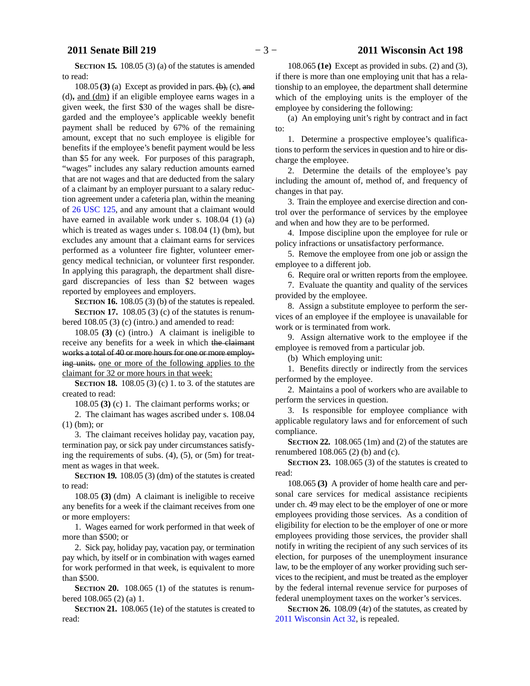**SECTION 15.** 108.05 (3) (a) of the statutes is amended to read:

108.05 **(3)** (a) Except as provided in pars.  $(\theta)$ , (c), and  $(d)$ , and  $(dm)$  if an eligible employee earns wages in a given week, the first \$30 of the wages shall be disregarded and the employee's applicable weekly benefit payment shall be reduced by 67% of the remaining amount, except that no such employee is eligible for benefits if the employee's benefit payment would be less than \$5 for any week. For purposes of this paragraph, "wages" includes any salary reduction amounts earned that are not wages and that are deducted from the salary of a claimant by an employer pursuant to a salary reduction agreement under a cafeteria plan, within the meaning of [26 USC 125,](https://docs.legis.wisconsin.gov/document/usc/26%20USC%20125) and any amount that a claimant would have earned in available work under s. 108.04 (1) (a) which is treated as wages under s. 108.04 (1) (bm), but excludes any amount that a claimant earns for services performed as a volunteer fire fighter, volunteer emergency medical technician, or volunteer first responder. In applying this paragraph, the department shall disregard discrepancies of less than \$2 between wages reported by employees and employers.

**SECTION 16.** 108.05 (3) (b) of the statutes is repealed. **SECTION 17.** 108.05 (3) (c) of the statutes is renumbered 108.05 (3) (c) (intro.) and amended to read:

108.05 **(3)** (c) (intro.) A claimant is ineligible to receive any benefits for a week in which the claimant works a total of 40 or more hours for one or more employing units. one or more of the following applies to the claimant for 32 or more hours in that week:

**SECTION 18.** 108.05 (3) (c) 1. to 3. of the statutes are created to read:

108.05 **(3)** (c) 1. The claimant performs works; or

2. The claimant has wages ascribed under s. 108.04 (1) (bm); or

3. The claimant receives holiday pay, vacation pay, termination pay, or sick pay under circumstances satisfying the requirements of subs. (4), (5), or (5m) for treatment as wages in that week.

**SECTION 19.** 108.05 (3) (dm) of the statutes is created to read:

108.05 **(3)** (dm) A claimant is ineligible to receive any benefits for a week if the claimant receives from one or more employers:

1. Wages earned for work performed in that week of more than \$500; or

2. Sick pay, holiday pay, vacation pay, or termination pay which, by itself or in combination with wages earned for work performed in that week, is equivalent to more than \$500.

**SECTION 20.** 108.065 (1) of the statutes is renumbered 108.065 (2) (a) 1.

**SECTION 21.** 108.065 (1e) of the statutes is created to read:

108.065 **(1e)** Except as provided in subs. (2) and (3), if there is more than one employing unit that has a relationship to an employee, the department shall determine which of the employing units is the employer of the employee by considering the following:

(a) An employing unit's right by contract and in fact to:

1. Determine a prospective employee's qualifications to perform the services in question and to hire or discharge the employee.

2. Determine the details of the employee's pay including the amount of, method of, and frequency of changes in that pay.

3. Train the employee and exercise direction and control over the performance of services by the employee and when and how they are to be performed.

4. Impose discipline upon the employee for rule or policy infractions or unsatisfactory performance.

5. Remove the employee from one job or assign the employee to a different job.

6. Require oral or written reports from the employee.

7. Evaluate the quantity and quality of the services provided by the employee.

8. Assign a substitute employee to perform the services of an employee if the employee is unavailable for work or is terminated from work.

9. Assign alternative work to the employee if the employee is removed from a particular job.

(b) Which employing unit:

1. Benefits directly or indirectly from the services performed by the employee.

2. Maintains a pool of workers who are available to perform the services in question.

3. Is responsible for employee compliance with applicable regulatory laws and for enforcement of such compliance.

**SECTION 22.** 108.065 (1m) and (2) of the statutes are renumbered 108.065 (2) (b) and (c).

**SECTION 23.** 108.065 (3) of the statutes is created to read:

108.065 **(3)** A provider of home health care and personal care services for medical assistance recipients under ch. 49 may elect to be the employer of one or more employees providing those services. As a condition of eligibility for election to be the employer of one or more employees providing those services, the provider shall notify in writing the recipient of any such services of its election, for purposes of the unemployment insurance law, to be the employer of any worker providing such services to the recipient, and must be treated as the employer by the federal internal revenue service for purposes of federal unemployment taxes on the worker's services.

**SECTION 26.** 108.09 (4r) of the statutes, as created by [2011 Wisconsin Act 32](https://docs.legis.wisconsin.gov/document/acts/2011/32), is repealed.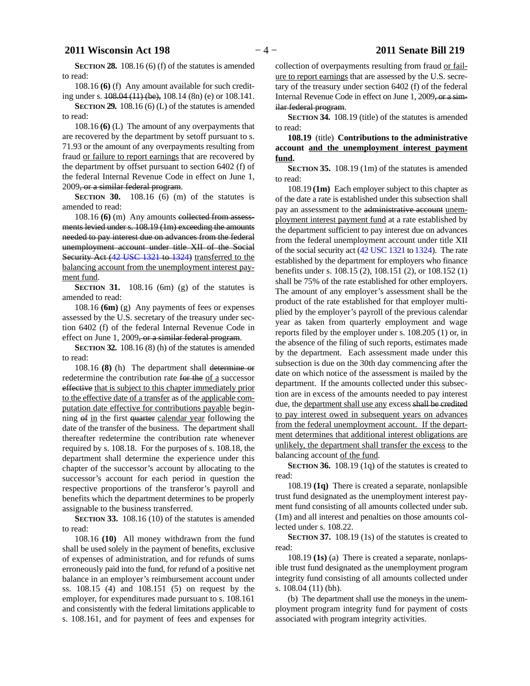**SECTION 28.** 108.16 (6) (f) of the statutes is amended to read:

108.16 **(6)** (f) Any amount available for such crediting under s. 108.04 (11) (be), 108.14 (8n) (e) or 108.141.

**SECTION** 29. 108.16 (6) (L) of the statutes is amended to read:

108.16 **(6)** (L) The amount of any overpayments that are recovered by the department by setoff pursuant to s. 71.93 or the amount of any overpayments resulting from fraud or failure to report earnings that are recovered by the department by offset pursuant to section 6402 (f) of the federal Internal Revenue Code in effect on June 1, 2009, or a similar federal program.

**SECTION** 30. 108.16 (6) (m) of the statutes is amended to read:

108.16 **(6)** (m) Any amounts collected from assessments levied under s. 108.19 (1m) exceeding the amounts needed to pay interest due on advances from the federal unemployment account under title XII of the Social Security Act [\(42 USC 1321](https://docs.legis.wisconsin.gov/document/usc/42%20USC%201321) to [1324](https://docs.legis.wisconsin.gov/document/usc/42%20USC%201324)) transferred to the balancing account from the unemployment interest payment fund.

**SECTION 31.** 108.16 (6m) (g) of the statutes is amended to read:

108.16 **(6m)** (g) Any payments of fees or expenses assessed by the U.S. secretary of the treasury under section 6402 (f) of the federal Internal Revenue Code in effect on June 1, 2009, or a similar federal program.

**SECTION 32.** 108.16 (8) (h) of the statutes is amended to read:

108.16 **(8)** (h) The department shall determine or redetermine the contribution rate for the of a successor effective that is subject to this chapter immediately prior to the effective date of a transfer as of the applicable computation date effective for contributions payable beginning of in the first quarter calendar year following the date of the transfer of the business. The department shall thereafter redetermine the contribution rate whenever required by s. 108.18. For the purposes of s. 108.18, the department shall determine the experience under this chapter of the successor's account by allocating to the successor's account for each period in question the respective proportions of the transferor's payroll and benefits which the department determines to be properly assignable to the business transferred.

**SECTION 33.** 108.16 (10) of the statutes is amended to read:

108.16 **(10)** All money withdrawn from the fund shall be used solely in the payment of benefits, exclusive of expenses of administration, and for refunds of sums erroneously paid into the fund, for refund of a positive net balance in an employer's reimbursement account under ss. 108.15 (4) and 108.151 (5) on request by the employer, for expenditures made pursuant to s. 108.161 and consistently with the federal limitations applicable to s. 108.161, and for payment of fees and expenses for

collection of overpayments resulting from fraud or failure to report earnings that are assessed by the U.S. secretary of the treasury under section 6402 (f) of the federal Internal Revenue Code in effect on June 1, 2009, or a similar federal program.

**SECTION 34.** 108.19 (title) of the statutes is amended to read:

**108.19** (title) **Contributions to the administrative account and the unemployment interest payment fund.**

**SECTION 35.** 108.19 (1m) of the statutes is amended to read:

108.19 **(1m)** Each employer subject to this chapter as of the date a rate is established under this subsection shall pay an assessment to the administrative account unemployment interest payment fund at a rate established by the department sufficient to pay interest due on advances from the federal unemployment account under title XII of the social security act [\(42 USC 1321](https://docs.legis.wisconsin.gov/document/usc/42%20USC%201321) to [1324](https://docs.legis.wisconsin.gov/document/usc/42%20USC%201324)). The rate established by the department for employers who finance benefits under s. 108.15 (2), 108.151 (2), or 108.152 (1) shall be 75% of the rate established for other employers. The amount of any employer's assessment shall be the product of the rate established for that employer multiplied by the employer's payroll of the previous calendar year as taken from quarterly employment and wage reports filed by the employer under s. 108.205 (1) or, in the absence of the filing of such reports, estimates made by the department. Each assessment made under this subsection is due on the 30th day commencing after the date on which notice of the assessment is mailed by the department. If the amounts collected under this subsection are in excess of the amounts needed to pay interest due, the department shall use any excess shall be credited to pay interest owed in subsequent years on advances from the federal unemployment account. If the department determines that additional interest obligations are unlikely, the department shall transfer the excess to the balancing account of the fund.

**SECTION** 36. 108.19 (1q) of the statutes is created to read:

108.19 **(1q)** There is created a separate, nonlapsible trust fund designated as the unemployment interest payment fund consisting of all amounts collected under sub. (1m) and all interest and penalties on those amounts collected under s. 108.22.

**SECTION 37.** 108.19 (1s) of the statutes is created to read:

108.19 **(1s)** (a) There is created a separate, nonlapsible trust fund designated as the unemployment program integrity fund consisting of all amounts collected under s. 108.04 (11) (bh).

(b) The department shall use the moneys in the unemployment program integrity fund for payment of costs associated with program integrity activities.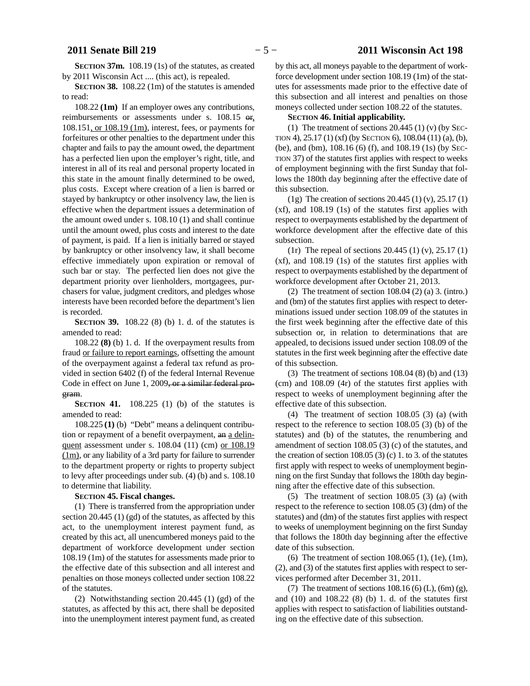**SECTION 37m.** 108.19 (1s) of the statutes, as created by 2011 Wisconsin Act .... (this act), is repealed.

**SECTION 38.** 108.22 (1m) of the statutes is amended to read:

108.22 **(1m)** If an employer owes any contributions, reimbursements or assessments under s. 108.15 or, 108.151, or 108.19 (1m), interest, fees, or payments for forfeitures or other penalties to the department under this chapter and fails to pay the amount owed, the department has a perfected lien upon the employer's right, title, and interest in all of its real and personal property located in this state in the amount finally determined to be owed, plus costs. Except where creation of a lien is barred or stayed by bankruptcy or other insolvency law, the lien is effective when the department issues a determination of the amount owed under s. 108.10 (1) and shall continue until the amount owed, plus costs and interest to the date of payment, is paid. If a lien is initially barred or stayed by bankruptcy or other insolvency law, it shall become effective immediately upon expiration or removal of such bar or stay. The perfected lien does not give the department priority over lienholders, mortgagees, purchasers for value, judgment creditors, and pledges whose interests have been recorded before the department's lien is recorded.

**SECTION 39.** 108.22 (8) (b) 1. d. of the statutes is amended to read:

108.22 **(8)** (b) 1. d. If the overpayment results from fraud or failure to report earnings, offsetting the amount of the overpayment against a federal tax refund as provided in section 6402 (f) of the federal Internal Revenue Code in effect on June 1, 2009, or a similar federal program.

**SECTION 41.** 108.225 (1) (b) of the statutes is amended to read:

108.225 **(1)** (b) "Debt" means a delinquent contribution or repayment of a benefit overpayment, an a delinquent assessment under s. 108.04 (11) (cm) or 108.19 (1m), or any liability of a 3rd party for failure to surrender to the department property or rights to property subject to levy after proceedings under sub. (4) (b) and s. 108.10 to determine that liability.

**SECTION 45.**0**Fiscal changes.**

(1) There is transferred from the appropriation under section 20.445 (1) (gd) of the statutes, as affected by this act, to the unemployment interest payment fund, as created by this act, all unencumbered moneys paid to the department of workforce development under section 108.19 (1m) of the statutes for assessments made prior to the effective date of this subsection and all interest and penalties on those moneys collected under section 108.22 of the statutes.

(2) Notwithstanding section 20.445 (1) (gd) of the statutes, as affected by this act, there shall be deposited into the unemployment interest payment fund, as created by this act, all moneys payable to the department of workforce development under section 108.19 (1m) of the statutes for assessments made prior to the effective date of this subsection and all interest and penalties on those moneys collected under section 108.22 of the statutes.

#### **SECTION** 46. Initial applicability.

(1) The treatment of sections  $20.445$  (1) (v) (by SEC-TION 4), 25.17 (1) (xf) (by SECTION 6), 108.04 (11) (a), (b), (be), and (bm), 108.16 (6) (f), and 108.19 (1s) (by SEC-TION 37) of the statutes first applies with respect to weeks of employment beginning with the first Sunday that follows the 180th day beginning after the effective date of this subsection.

(1g) The creation of sections 20.445 (1) (v), 25.17 (1) (xf), and 108.19 (1s) of the statutes first applies with respect to overpayments established by the department of workforce development after the effective date of this subsection.

(1r) The repeal of sections 20.445 (1) (v), 25.17 (1) (xf), and 108.19 (1s) of the statutes first applies with respect to overpayments established by the department of workforce development after October 21, 2013.

(2) The treatment of section 108.04 (2) (a) 3. (intro.) and (bm) of the statutes first applies with respect to determinations issued under section 108.09 of the statutes in the first week beginning after the effective date of this subsection or, in relation to determinations that are appealed, to decisions issued under section 108.09 of the statutes in the first week beginning after the effective date of this subsection.

(3) The treatment of sections 108.04 (8) (b) and (13) (cm) and 108.09 (4r) of the statutes first applies with respect to weeks of unemployment beginning after the effective date of this subsection.

(4) The treatment of section 108.05 (3) (a) (with respect to the reference to section 108.05 (3) (b) of the statutes) and (b) of the statutes, the renumbering and amendment of section 108.05 (3) (c) of the statutes, and the creation of section  $108.05$  (3) (c) 1. to 3. of the statutes first apply with respect to weeks of unemployment beginning on the first Sunday that follows the 180th day beginning after the effective date of this subsection.

(5) The treatment of section 108.05 (3) (a) (with respect to the reference to section 108.05 (3) (dm) of the statutes) and (dm) of the statutes first applies with respect to weeks of unemployment beginning on the first Sunday that follows the 180th day beginning after the effective date of this subsection.

(6) The treatment of section 108.065 (1), (1e), (1m), (2), and (3) of the statutes first applies with respect to services performed after December 31, 2011.

(7) The treatment of sections  $108.16(6)(L)$ ,  $(6m)(g)$ , and (10) and 108.22 (8) (b) 1. d. of the statutes first applies with respect to satisfaction of liabilities outstanding on the effective date of this subsection.